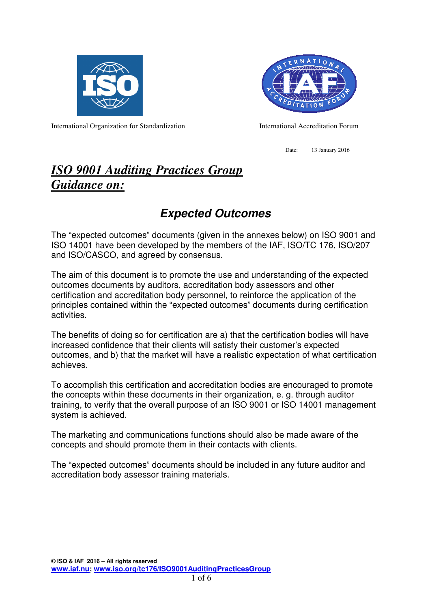



International Organization for Standardization International Accreditation Forum

Date: 13 January 2016

# *ISO 9001 Auditing Practices Group Guidance on:*

# **Expected Outcomes**

The "expected outcomes" documents (given in the annexes below) on ISO 9001 and ISO 14001 have been developed by the members of the IAF, ISO/TC 176, ISO/207 and ISO/CASCO, and agreed by consensus.

The aim of this document is to promote the use and understanding of the expected outcomes documents by auditors, accreditation body assessors and other certification and accreditation body personnel, to reinforce the application of the principles contained within the "expected outcomes" documents during certification activities.

The benefits of doing so for certification are a) that the certification bodies will have increased confidence that their clients will satisfy their customer's expected outcomes, and b) that the market will have a realistic expectation of what certification achieves.

To accomplish this certification and accreditation bodies are encouraged to promote the concepts within these documents in their organization, e. g. through auditor training, to verify that the overall purpose of an ISO 9001 or ISO 14001 management system is achieved.

The marketing and communications functions should also be made aware of the concepts and should promote them in their contacts with clients.

The "expected outcomes" documents should be included in any future auditor and accreditation body assessor training materials.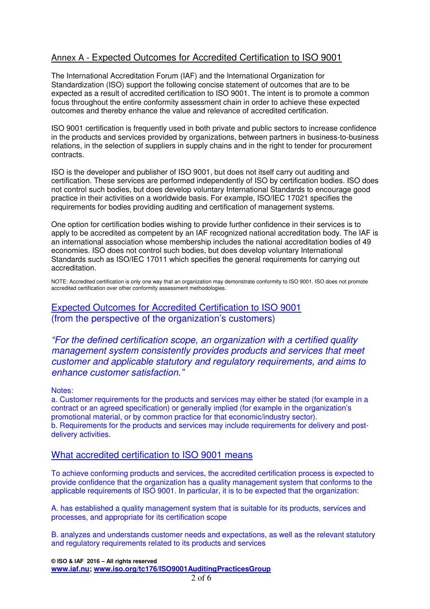## Annex A - Expected Outcomes for Accredited Certification to ISO 9001

The International Accreditation Forum (IAF) and the International Organization for Standardization (ISO) support the following concise statement of outcomes that are to be expected as a result of accredited certification to ISO 9001. The intent is to promote a common focus throughout the entire conformity assessment chain in order to achieve these expected outcomes and thereby enhance the value and relevance of accredited certification.

ISO 9001 certification is frequently used in both private and public sectors to increase confidence in the products and services provided by organizations, between partners in business-to-business relations, in the selection of suppliers in supply chains and in the right to tender for procurement contracts.

ISO is the developer and publisher of ISO 9001, but does not itself carry out auditing and certification. These services are performed independently of ISO by certification bodies. ISO does not control such bodies, but does develop voluntary International Standards to encourage good practice in their activities on a worldwide basis. For example, ISO/IEC 17021 specifies the requirements for bodies providing auditing and certification of management systems.

One option for certification bodies wishing to provide further confidence in their services is to apply to be accredited as competent by an IAF recognized national accreditation body. The IAF is an international association whose membership includes the national accreditation bodies of 49 economies. ISO does not control such bodies, but does develop voluntary International Standards such as ISO/IEC 17011 which specifies the general requirements for carrying out accreditation.

NOTE: Accredited certification is only one way that an organization may demonstrate conformity to ISO 9001. ISO does not promote accredited certification over other conformity assessment methodologies.

Expected Outcomes for Accredited Certification to ISO 9001 (from the perspective of the organization's customers)

"For the defined certification scope, an organization with a certified quality management system consistently provides products and services that meet customer and applicable statutory and regulatory requirements, and aims to enhance customer satisfaction."

#### Notes:

a. Customer requirements for the products and services may either be stated (for example in a contract or an agreed specification) or generally implied (for example in the organization's promotional material, or by common practice for that economic/industry sector). b. Requirements for the products and services may include requirements for delivery and postdelivery activities.

### What accredited certification to ISO 9001 means

To achieve conforming products and services, the accredited certification process is expected to provide confidence that the organization has a quality management system that conforms to the applicable requirements of ISO 9001. In particular, it is to be expected that the organization:

A. has established a quality management system that is suitable for its products, services and processes, and appropriate for its certification scope

B. analyzes and understands customer needs and expectations, as well as the relevant statutory and regulatory requirements related to its products and services

**© ISO & IAF 2016 – All rights reserved www.iaf.nu; www.iso.org/tc176/ISO9001AuditingPracticesGroup**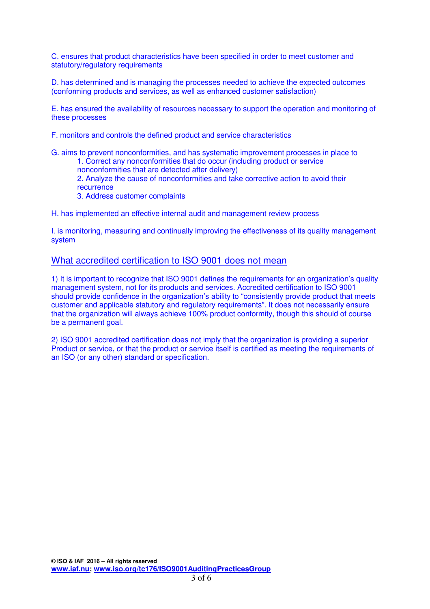C. ensures that product characteristics have been specified in order to meet customer and statutory/regulatory requirements

D. has determined and is managing the processes needed to achieve the expected outcomes (conforming products and services, as well as enhanced customer satisfaction)

E. has ensured the availability of resources necessary to support the operation and monitoring of these processes

F. monitors and controls the defined product and service characteristics

G. aims to prevent nonconformities, and has systematic improvement processes in place to 1. Correct any nonconformities that do occur (including product or service

nonconformities that are detected after delivery)

2. Analyze the cause of nonconformities and take corrective action to avoid their recurrence

3. Address customer complaints

H. has implemented an effective internal audit and management review process

I. is monitoring, measuring and continually improving the effectiveness of its quality management system

### What accredited certification to ISO 9001 does not mean

1) It is important to recognize that ISO 9001 defines the requirements for an organization's quality management system, not for its products and services. Accredited certification to ISO 9001 should provide confidence in the organization's ability to "consistently provide product that meets customer and applicable statutory and regulatory requirements". It does not necessarily ensure that the organization will always achieve 100% product conformity, though this should of course be a permanent goal.

2) ISO 9001 accredited certification does not imply that the organization is providing a superior Product or service, or that the product or service itself is certified as meeting the requirements of an ISO (or any other) standard or specification.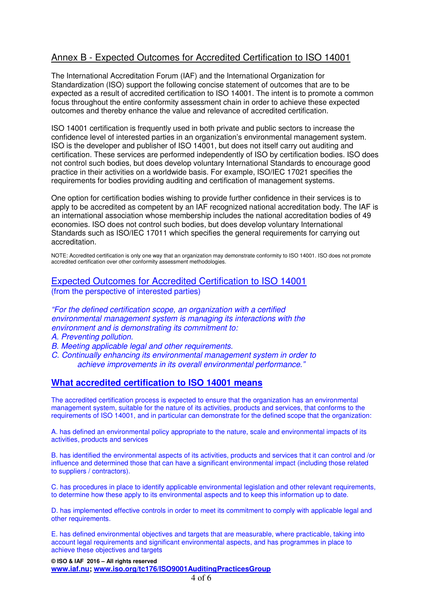## Annex B - Expected Outcomes for Accredited Certification to ISO 14001

The International Accreditation Forum (IAF) and the International Organization for Standardization (ISO) support the following concise statement of outcomes that are to be expected as a result of accredited certification to ISO 14001. The intent is to promote a common focus throughout the entire conformity assessment chain in order to achieve these expected outcomes and thereby enhance the value and relevance of accredited certification.

ISO 14001 certification is frequently used in both private and public sectors to increase the confidence level of interested parties in an organization's environmental management system. ISO is the developer and publisher of ISO 14001, but does not itself carry out auditing and certification. These services are performed independently of ISO by certification bodies. ISO does not control such bodies, but does develop voluntary International Standards to encourage good practice in their activities on a worldwide basis. For example, ISO/IEC 17021 specifies the requirements for bodies providing auditing and certification of management systems.

One option for certification bodies wishing to provide further confidence in their services is to apply to be accredited as competent by an IAF recognized national accreditation body. The IAF is an international association whose membership includes the national accreditation bodies of 49 economies. ISO does not control such bodies, but does develop voluntary International Standards such as ISO/IEC 17011 which specifies the general requirements for carrying out accreditation.

NOTE: Accredited certification is only one way that an organization may demonstrate conformity to ISO 14001. ISO does not promote accredited certification over other conformity assessment methodologies.

### Expected Outcomes for Accredited Certification to ISO 14001 (from the perspective of interested parties)

"For the defined certification scope, an organization with a certified environmental management system is managing its interactions with the environment and is demonstrating its commitment to:

A. Preventing pollution.

B. Meeting applicable legal and other requirements.

C. Continually enhancing its environmental management system in order to achieve improvements in its overall environmental performance."

### **What accredited certification to ISO 14001 means**

The accredited certification process is expected to ensure that the organization has an environmental management system, suitable for the nature of its activities, products and services, that conforms to the requirements of ISO 14001, and in particular can demonstrate for the defined scope that the organization:

A. has defined an environmental policy appropriate to the nature, scale and environmental impacts of its activities, products and services

B. has identified the environmental aspects of its activities, products and services that it can control and /or influence and determined those that can have a significant environmental impact (including those related to suppliers / contractors).

C. has procedures in place to identify applicable environmental legislation and other relevant requirements, to determine how these apply to its environmental aspects and to keep this information up to date.

D. has implemented effective controls in order to meet its commitment to comply with applicable legal and other requirements.

E. has defined environmental objectives and targets that are measurable, where practicable, taking into account legal requirements and significant environmental aspects, and has programmes in place to achieve these objectives and targets

**© ISO & IAF 2016 – All rights reserved www.iaf.nu; www.iso.org/tc176/ISO9001AuditingPracticesGroup**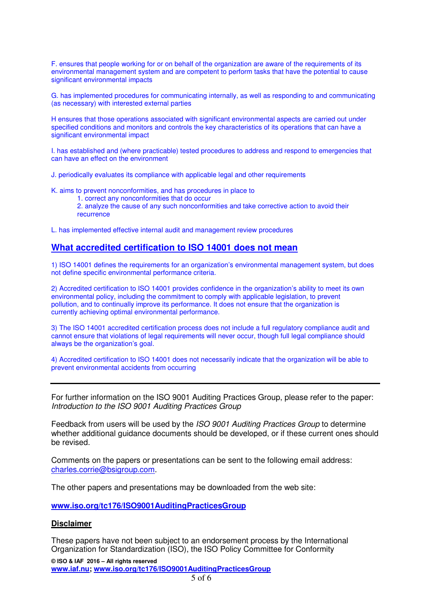F. ensures that people working for or on behalf of the organization are aware of the requirements of its environmental management system and are competent to perform tasks that have the potential to cause significant environmental impacts

G. has implemented procedures for communicating internally, as well as responding to and communicating (as necessary) with interested external parties

H ensures that those operations associated with significant environmental aspects are carried out under specified conditions and monitors and controls the key characteristics of its operations that can have a significant environmental impact

I. has established and (where practicable) tested procedures to address and respond to emergencies that can have an effect on the environment

J. periodically evaluates its compliance with applicable legal and other requirements

K. aims to prevent nonconformities, and has procedures in place to

1. correct any nonconformities that do occur

2. analyze the cause of any such nonconformities and take corrective action to avoid their recurrence

L. has implemented effective internal audit and management review procedures

### **What accredited certification to ISO 14001 does not mean**

1) ISO 14001 defines the requirements for an organization's environmental management system, but does not define specific environmental performance criteria.

2) Accredited certification to ISO 14001 provides confidence in the organization's ability to meet its own environmental policy, including the commitment to comply with applicable legislation, to prevent pollution, and to continually improve its performance. It does not ensure that the organization is currently achieving optimal environmental performance.

3) The ISO 14001 accredited certification process does not include a full regulatory compliance audit and cannot ensure that violations of legal requirements will never occur, though full legal compliance should always be the organization's goal.

4) Accredited certification to ISO 14001 does not necessarily indicate that the organization will be able to prevent environmental accidents from occurring

For further information on the ISO 9001 Auditing Practices Group, please refer to the paper: Introduction to the ISO 9001 Auditing Practices Group

Feedback from users will be used by the ISO 9001 Auditing Practices Group to determine whether additional guidance documents should be developed, or if these current ones should be revised.

Comments on the papers or presentations can be sent to the following email address: charles.corrie@bsigroup.com.

The other papers and presentations may be downloaded from the web site:

**www.iso.org/tc176/ISO9001AuditingPracticesGroup** 

#### **Disclaimer**

These papers have not been subject to an endorsement process by the International Organization for Standardization (ISO), the ISO Policy Committee for Conformity

**© ISO & IAF 2016 – All rights reserved www.iaf.nu; www.iso.org/tc176/ISO9001AuditingPracticesGroup**